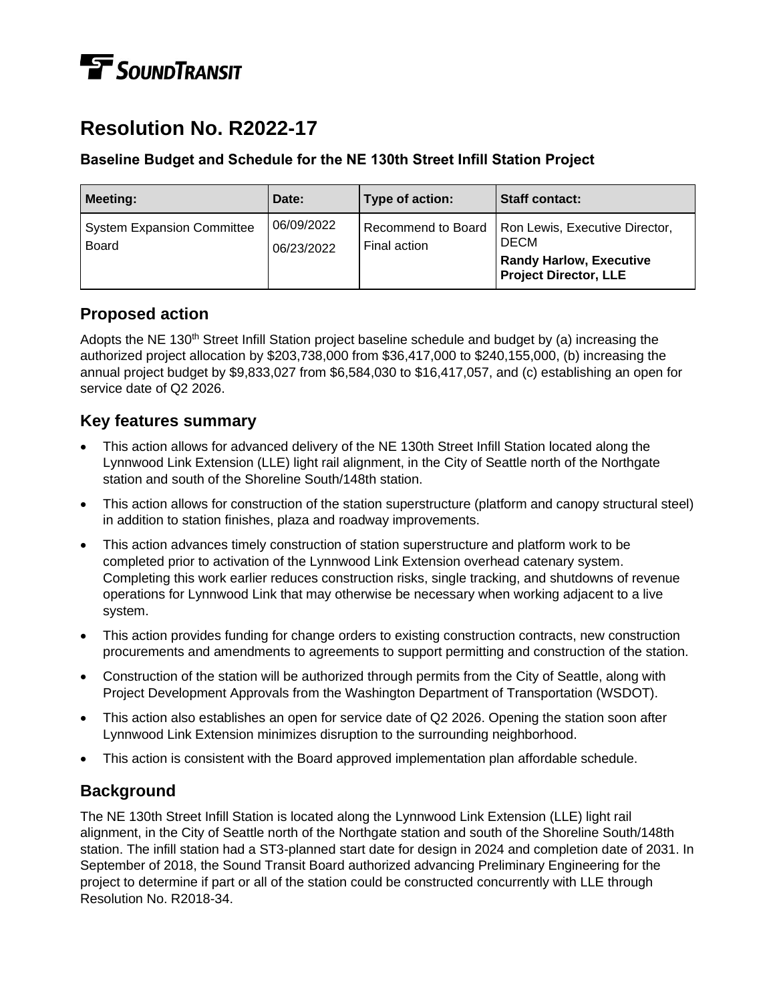# **TE** SOUNDTRANSIT

# **Resolution No. R2022-17**

#### **Baseline Budget and Schedule for the NE 130th Street Infill Station Project**

| <b>Meeting:</b>                                   | Date:                    | Type of action:                    | <b>Staff contact:</b>                                                                                           |
|---------------------------------------------------|--------------------------|------------------------------------|-----------------------------------------------------------------------------------------------------------------|
| <b>System Expansion Committee</b><br><b>Board</b> | 06/09/2022<br>06/23/2022 | Recommend to Board<br>Final action | Ron Lewis, Executive Director,<br><b>DECM</b><br><b>Randy Harlow, Executive</b><br><b>Project Director, LLE</b> |

### **Proposed action**

Adopts the NE 130<sup>th</sup> Street Infill Station project baseline schedule and budget by (a) increasing the authorized project allocation by \$203,738,000 from \$36,417,000 to \$240,155,000, (b) increasing the annual project budget by \$9,833,027 from \$6,584,030 to \$16,417,057, and (c) establishing an open for service date of Q2 2026.

## **Key features summary**

- This action allows for advanced delivery of the NE 130th Street Infill Station located along the Lynnwood Link Extension (LLE) light rail alignment, in the City of Seattle north of the Northgate station and south of the Shoreline South/148th station.
- This action allows for construction of the station superstructure (platform and canopy structural steel) in addition to station finishes, plaza and roadway improvements.
- This action advances timely construction of station superstructure and platform work to be completed prior to activation of the Lynnwood Link Extension overhead catenary system. Completing this work earlier reduces construction risks, single tracking, and shutdowns of revenue operations for Lynnwood Link that may otherwise be necessary when working adjacent to a live system.
- This action provides funding for change orders to existing construction contracts, new construction procurements and amendments to agreements to support permitting and construction of the station.
- Construction of the station will be authorized through permits from the City of Seattle, along with Project Development Approvals from the Washington Department of Transportation (WSDOT).
- This action also establishes an open for service date of Q2 2026. Opening the station soon after Lynnwood Link Extension minimizes disruption to the surrounding neighborhood.
- This action is consistent with the Board approved implementation plan affordable schedule.

## **Background**

The NE 130th Street Infill Station is located along the Lynnwood Link Extension (LLE) light rail alignment, in the City of Seattle north of the Northgate station and south of the Shoreline South/148th station. The infill station had a ST3-planned start date for design in 2024 and completion date of 2031. In September of 2018, the Sound Transit Board authorized advancing Preliminary Engineering for the project to determine if part or all of the station could be constructed concurrently with LLE through Resolution No. R2018-34.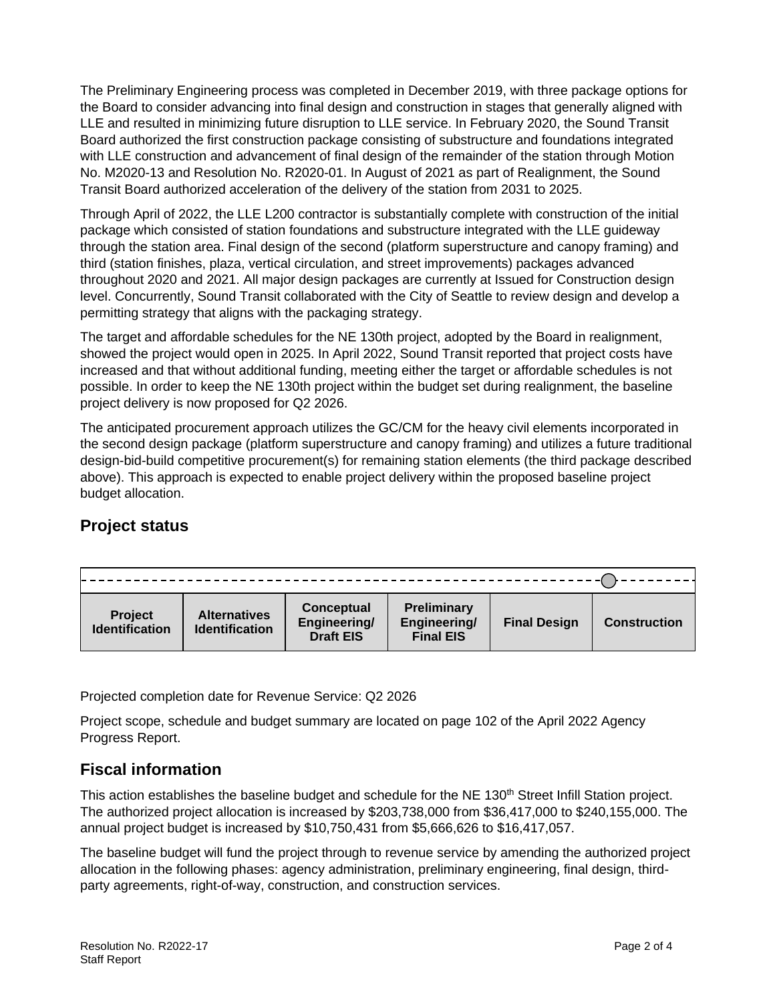The Preliminary Engineering process was completed in December 2019, with three package options for the Board to consider advancing into final design and construction in stages that generally aligned with LLE and resulted in minimizing future disruption to LLE service. In February 2020, the Sound Transit Board authorized the first construction package consisting of substructure and foundations integrated with LLE construction and advancement of final design of the remainder of the station through Motion No. M2020-13 and Resolution No. R2020-01. In August of 2021 as part of Realignment, the Sound Transit Board authorized acceleration of the delivery of the station from 2031 to 2025.

Through April of 2022, the LLE L200 contractor is substantially complete with construction of the initial package which consisted of station foundations and substructure integrated with the LLE guideway through the station area. Final design of the second (platform superstructure and canopy framing) and third (station finishes, plaza, vertical circulation, and street improvements) packages advanced throughout 2020 and 2021. All major design packages are currently at Issued for Construction design level. Concurrently, Sound Transit collaborated with the City of Seattle to review design and develop a permitting strategy that aligns with the packaging strategy.

The target and affordable schedules for the NE 130th project, adopted by the Board in realignment, showed the project would open in 2025. In April 2022, Sound Transit reported that project costs have increased and that without additional funding, meeting either the target or affordable schedules is not possible. In order to keep the NE 130th project within the budget set during realignment, the baseline project delivery is now proposed for Q2 2026.

The anticipated procurement approach utilizes the GC/CM for the heavy civil elements incorporated in the second design package (platform superstructure and canopy framing) and utilizes a future traditional design-bid-build competitive procurement(s) for remaining station elements (the third package described above). This approach is expected to enable project delivery within the proposed baseline project budget allocation.

## **Project status**

| <b>Project</b><br><b>Identification</b> | <b>Alternatives</b><br><b>Identification</b> | Conceptual<br>Engineering/<br><b>Draft EIS</b> | <b>Preliminary</b><br>Engineering/<br><b>Final EIS</b> | <b>Final Design</b> | <b>Construction</b> |
|-----------------------------------------|----------------------------------------------|------------------------------------------------|--------------------------------------------------------|---------------------|---------------------|

Projected completion date for Revenue Service: Q2 2026

Project scope, schedule and budget summary are located on page 102 of the April 2022 Agency Progress Report.

#### **Fiscal information**

This action establishes the baseline budget and schedule for the NE 130<sup>th</sup> Street Infill Station project. The authorized project allocation is increased by \$203,738,000 from \$36,417,000 to \$240,155,000. The annual project budget is increased by \$10,750,431 from \$5,666,626 to \$16,417,057.

The baseline budget will fund the project through to revenue service by amending the authorized project allocation in the following phases: agency administration, preliminary engineering, final design, thirdparty agreements, right-of-way, construction, and construction services.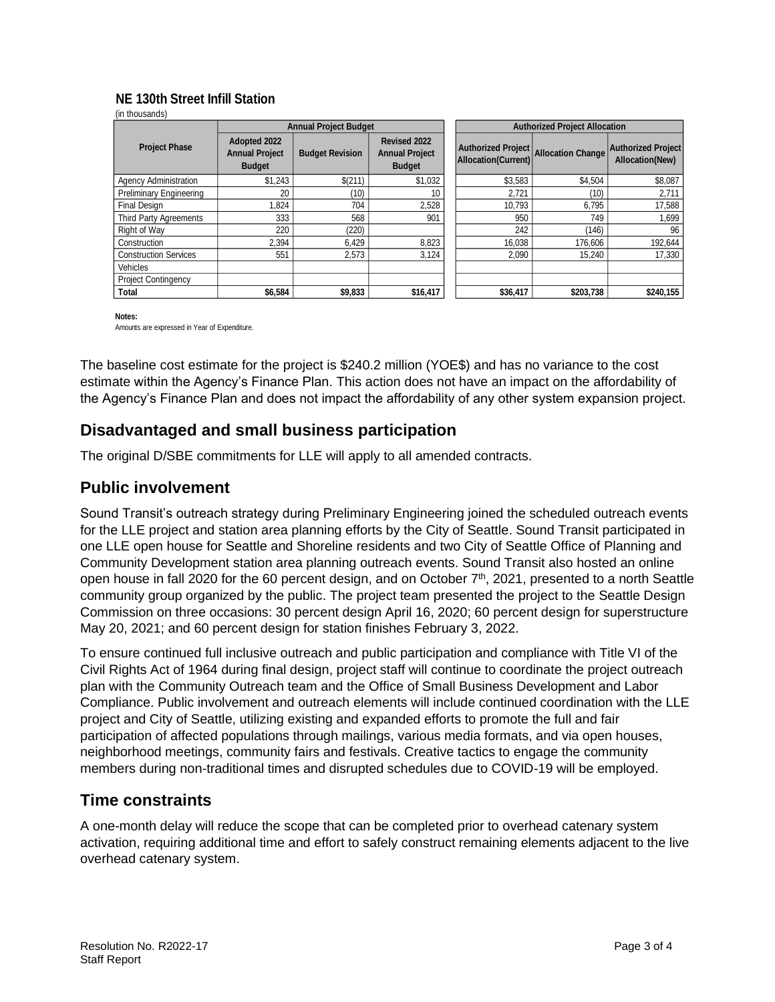#### **NE 130th Street Infill Station**

| (iii tiivusalius)             | <b>Annual Project Budget</b>                           |                        |                                                        | <b>Authorized Project Allocation</b>             |                          |                                                     |  |
|-------------------------------|--------------------------------------------------------|------------------------|--------------------------------------------------------|--------------------------------------------------|--------------------------|-----------------------------------------------------|--|
| <b>Project Phase</b>          | Adopted 2022<br><b>Annual Project</b><br><b>Budget</b> | <b>Budget Revision</b> | Revised 2022<br><b>Annual Project</b><br><b>Budget</b> | Authorized Project<br><b>Allocation(Current)</b> | <b>Allocation Change</b> | <b>Authorized Project</b><br><b>Allocation(New)</b> |  |
| <b>Agency Administration</b>  | \$1,243                                                | \$(211)                | \$1,032                                                | \$3,583                                          | \$4,504                  | \$8,087                                             |  |
| Preliminary Engineering       | 20                                                     | (10)                   | 10                                                     | 2,721                                            | (10)                     | 2,711                                               |  |
| Final Design                  | .824                                                   | 704                    | 2,528                                                  | 10,793                                           | 6.795                    | 17,588                                              |  |
| <b>Third Party Agreements</b> | 333                                                    | 568                    | 901                                                    | 950                                              | 749                      | 1,699                                               |  |
| Right of Way                  | 220                                                    | (220)                  |                                                        | 242                                              | (146)                    | 96                                                  |  |
| Construction                  | 2.394                                                  | 6.429                  | 8,823                                                  | 16,038                                           | 176.606                  | 192,644                                             |  |
| <b>Construction Services</b>  | 551                                                    | 2.573                  | 3,124                                                  | 2,090                                            | 15,240                   | 17,330                                              |  |
| Vehicles                      |                                                        |                        |                                                        |                                                  |                          |                                                     |  |
| <b>Project Contingency</b>    |                                                        |                        |                                                        |                                                  |                          |                                                     |  |
| Total                         | \$6,584                                                | \$9,833                | \$16,417                                               | \$36,417                                         | \$203,738                | \$240,155                                           |  |

**Notes:**

(in thousands)

Amounts are expressed in Year of Expenditure.

The baseline cost estimate for the project is \$240.2 million (YOE\$) and has no variance to the cost estimate within the Agency's Finance Plan. This action does not have an impact on the affordability of the Agency's Finance Plan and does not impact the affordability of any other system expansion project.

#### **Disadvantaged and small business participation**

The original D/SBE commitments for LLE will apply to all amended contracts.

#### **Public involvement**

Sound Transit's outreach strategy during Preliminary Engineering joined the scheduled outreach events for the LLE project and station area planning efforts by the City of Seattle. Sound Transit participated in one LLE open house for Seattle and Shoreline residents and two City of Seattle Office of Planning and Community Development station area planning outreach events. Sound Transit also hosted an online open house in fall 2020 for the 60 percent design, and on October  $7<sup>th</sup>$ , 2021, presented to a north Seattle community group organized by the public. The project team presented the project to the Seattle Design Commission on three occasions: 30 percent design April 16, 2020; 60 percent design for superstructure May 20, 2021; and 60 percent design for station finishes February 3, 2022.

To ensure continued full inclusive outreach and public participation and compliance with Title VI of the Civil Rights Act of 1964 during final design, project staff will continue to coordinate the project outreach plan with the Community Outreach team and the Office of Small Business Development and Labor Compliance. Public involvement and outreach elements will include continued coordination with the LLE project and City of Seattle, utilizing existing and expanded efforts to promote the full and fair participation of affected populations through mailings, various media formats, and via open houses, neighborhood meetings, community fairs and festivals. Creative tactics to engage the community members during non-traditional times and disrupted schedules due to COVID-19 will be employed.

#### **Time constraints**

A one-month delay will reduce the scope that can be completed prior to overhead catenary system activation, requiring additional time and effort to safely construct remaining elements adjacent to the live overhead catenary system.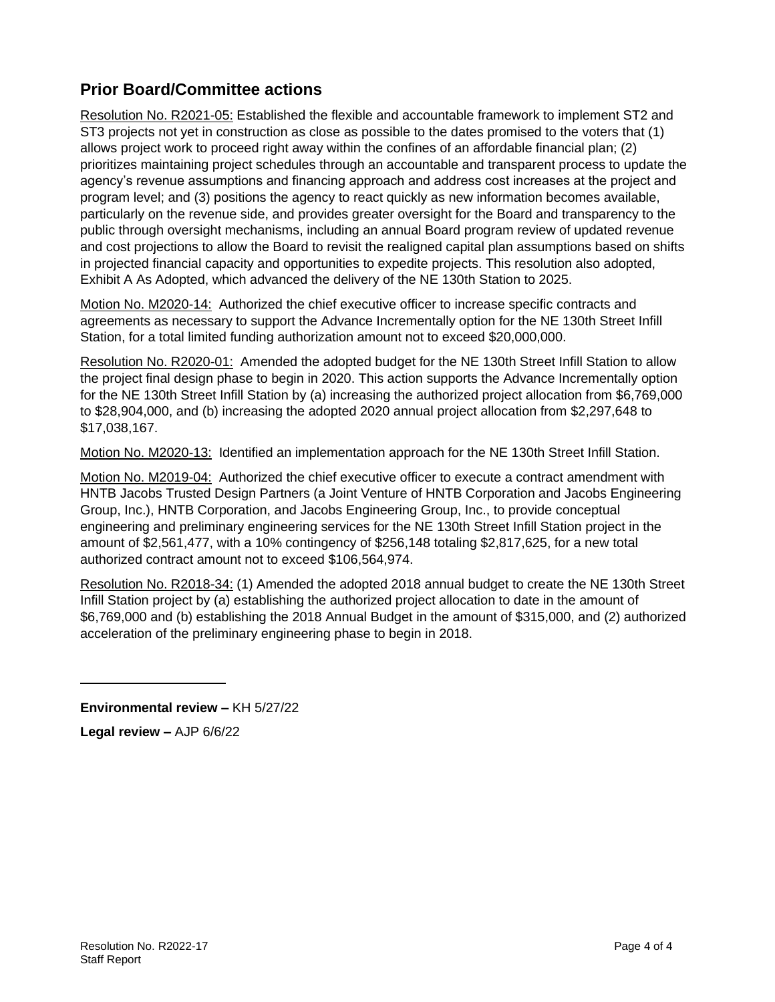# **Prior Board/Committee actions**

Resolution No. R2021-05: Established the flexible and accountable framework to implement ST2 and ST3 projects not yet in construction as close as possible to the dates promised to the voters that (1) allows project work to proceed right away within the confines of an affordable financial plan; (2) prioritizes maintaining project schedules through an accountable and transparent process to update the agency's revenue assumptions and financing approach and address cost increases at the project and program level; and (3) positions the agency to react quickly as new information becomes available, particularly on the revenue side, and provides greater oversight for the Board and transparency to the public through oversight mechanisms, including an annual Board program review of updated revenue and cost projections to allow the Board to revisit the realigned capital plan assumptions based on shifts in projected financial capacity and opportunities to expedite projects. This resolution also adopted, Exhibit A As Adopted, which advanced the delivery of the NE 130th Station to 2025.

Motion No. M2020-14: Authorized the chief executive officer to increase specific contracts and agreements as necessary to support the Advance Incrementally option for the NE 130th Street Infill Station, for a total limited funding authorization amount not to exceed \$20,000,000.

Resolution No. R2020-01: Amended the adopted budget for the NE 130th Street Infill Station to allow the project final design phase to begin in 2020. This action supports the Advance Incrementally option for the NE 130th Street Infill Station by (a) increasing the authorized project allocation from \$6,769,000 to \$28,904,000, and (b) increasing the adopted 2020 annual project allocation from \$2,297,648 to \$17,038,167.

Motion No. M2020-13: Identified an implementation approach for the NE 130th Street Infill Station.

Motion No. M2019-04: Authorized the chief executive officer to execute a contract amendment with HNTB Jacobs Trusted Design Partners (a Joint Venture of HNTB Corporation and Jacobs Engineering Group, Inc.), HNTB Corporation, and Jacobs Engineering Group, Inc., to provide conceptual engineering and preliminary engineering services for the NE 130th Street Infill Station project in the amount of \$2,561,477, with a 10% contingency of \$256,148 totaling \$2,817,625, for a new total authorized contract amount not to exceed \$106,564,974.

Resolution No. R2018-34: (1) Amended the adopted 2018 annual budget to create the NE 130th Street Infill Station project by (a) establishing the authorized project allocation to date in the amount of \$6,769,000 and (b) establishing the 2018 Annual Budget in the amount of \$315,000, and (2) authorized acceleration of the preliminary engineering phase to begin in 2018.

**Environmental review –** KH 5/27/22

**Legal review –** AJP 6/6/22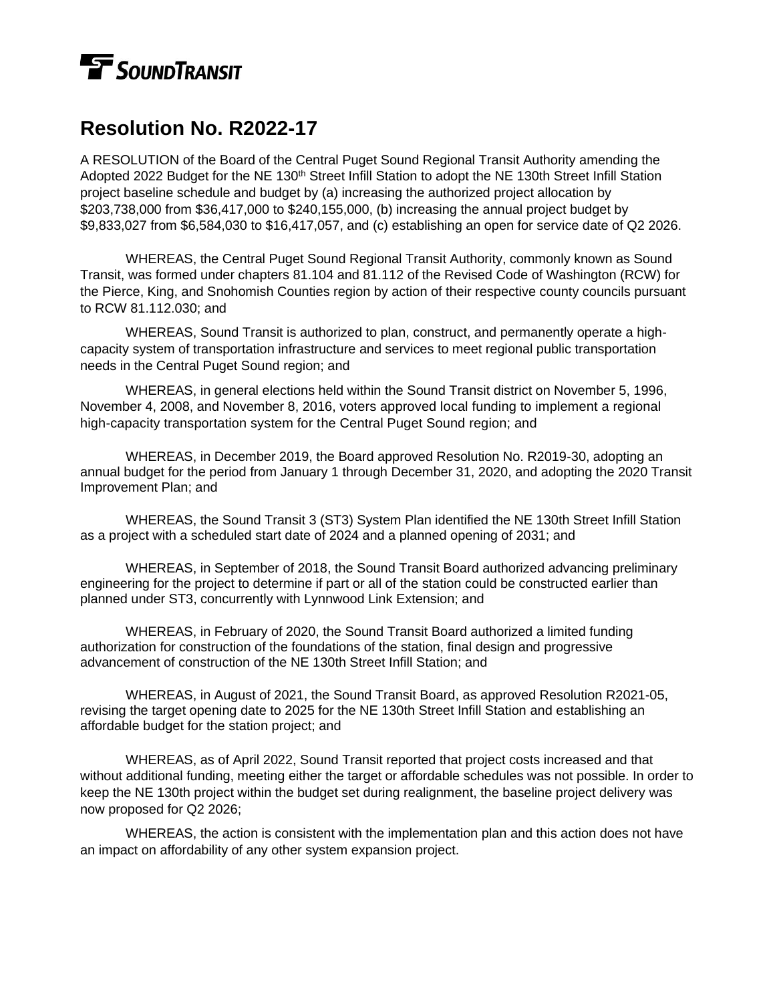# **TE** SOUNDTRANSIT

# **Resolution No. R2022-17**

A RESOLUTION of the Board of the Central Puget Sound Regional Transit Authority amending the Adopted 2022 Budget for the NE 130<sup>th</sup> Street Infill Station to adopt the NE 130th Street Infill Station project baseline schedule and budget by (a) increasing the authorized project allocation by \$203,738,000 from \$36,417,000 to \$240,155,000, (b) increasing the annual project budget by \$9,833,027 from \$6,584,030 to \$16,417,057, and (c) establishing an open for service date of Q2 2026.

WHEREAS, the Central Puget Sound Regional Transit Authority, commonly known as Sound Transit, was formed under chapters 81.104 and 81.112 of the Revised Code of Washington (RCW) for the Pierce, King, and Snohomish Counties region by action of their respective county councils pursuant to RCW 81.112.030; and

WHEREAS, Sound Transit is authorized to plan, construct, and permanently operate a highcapacity system of transportation infrastructure and services to meet regional public transportation needs in the Central Puget Sound region; and

WHEREAS, in general elections held within the Sound Transit district on November 5, 1996, November 4, 2008, and November 8, 2016, voters approved local funding to implement a regional high-capacity transportation system for the Central Puget Sound region; and

WHEREAS, in December 2019, the Board approved Resolution No. R2019-30, adopting an annual budget for the period from January 1 through December 31, 2020, and adopting the 2020 Transit Improvement Plan; and

WHEREAS, the Sound Transit 3 (ST3) System Plan identified the NE 130th Street Infill Station as a project with a scheduled start date of 2024 and a planned opening of 2031; and

WHEREAS, in September of 2018, the Sound Transit Board authorized advancing preliminary engineering for the project to determine if part or all of the station could be constructed earlier than planned under ST3, concurrently with Lynnwood Link Extension; and

WHEREAS, in February of 2020, the Sound Transit Board authorized a limited funding authorization for construction of the foundations of the station, final design and progressive advancement of construction of the NE 130th Street Infill Station; and

WHEREAS, in August of 2021, the Sound Transit Board, as approved Resolution R2021-05, revising the target opening date to 2025 for the NE 130th Street Infill Station and establishing an affordable budget for the station project; and

WHEREAS, as of April 2022, Sound Transit reported that project costs increased and that without additional funding, meeting either the target or affordable schedules was not possible. In order to keep the NE 130th project within the budget set during realignment, the baseline project delivery was now proposed for Q2 2026;

WHEREAS, the action is consistent with the implementation plan and this action does not have an impact on affordability of any other system expansion project.